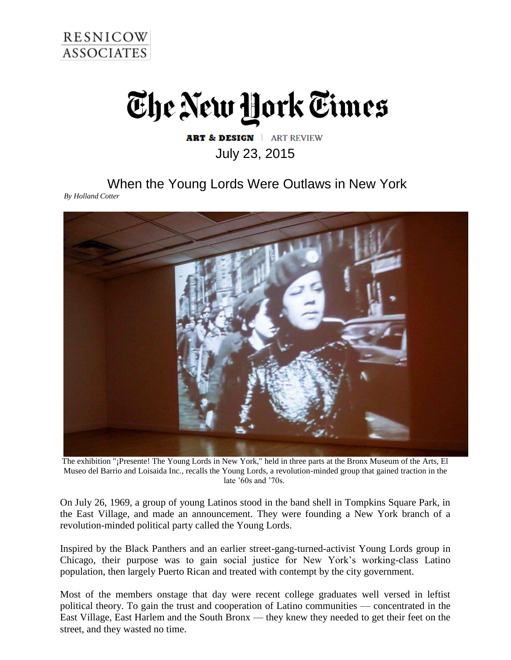

## The New York Times

## **ART & DESIGN | ART REVIEW** July 23, 2015

When the Young Lords Were Outlaws in New York

*By Holland Cotter*



The exhibition "¡Presente! The Young Lords in New York," held in three parts at the Bronx Museum of the Arts, El Museo del Barrio and Loisaida Inc., recalls the Young Lords, a revolution-minded group that gained traction in the late '60s and '70s.

On July 26, 1969, a group of young Latinos stood in the band shell in Tompkins Square Park, in the East Village, and made an announcement. They were founding a New York branch of a revolution-minded political party called the Young Lords.

Inspired by the Black Panthers and an earlier street-gang-turned-activist Young Lords group in Chicago, their purpose was to gain social justice for New York's working-class Latino population, then largely Puerto Rican and treated with contempt by the city government.

Most of the members onstage that day were recent college graduates well versed in leftist political theory. To gain the trust and cooperation of Latino communities — concentrated in the East Village, East Harlem and the South Bronx — they knew they needed to get their feet on the street, and they wasted no time.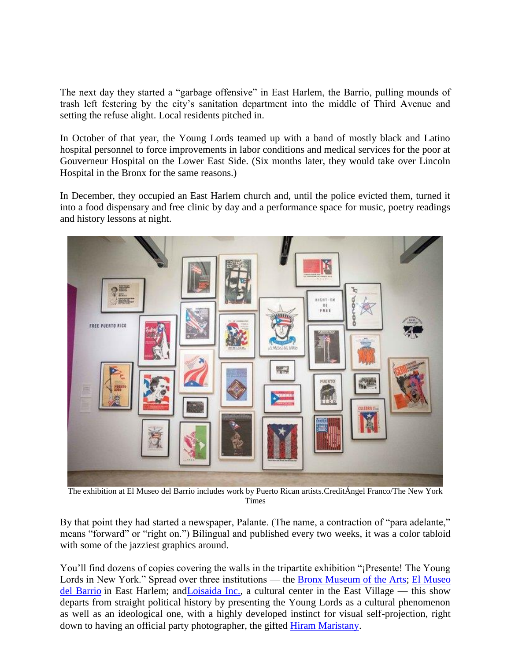The next day they started a "garbage offensive" in East Harlem, the Barrio, pulling mounds of trash left festering by the city's sanitation department into the middle of Third Avenue and setting the refuse alight. Local residents pitched in.

In October of that year, the Young Lords teamed up with a band of mostly black and Latino hospital personnel to force improvements in labor conditions and medical services for the poor at Gouverneur Hospital on the Lower East Side. (Six months later, they would take over Lincoln Hospital in the Bronx for the same reasons.)

In December, they occupied an East Harlem church and, until the police evicted them, turned it into a food dispensary and free clinic by day and a performance space for music, poetry readings and history lessons at night.



The exhibition at El Museo del Barrio includes work by Puerto Rican artists.CreditÁngel Franco/The New York Times

By that point they had started a newspaper, Palante. (The name, a contraction of "para adelante," means "forward" or "right on.") Bilingual and published every two weeks, it was a color tabloid with some of the jazziest graphics around.

You'll find dozens of copies covering the walls in the tripartite exhibition "¡Presente! The Young Lords in New York." Spread over three institutions — the [Bronx Museum of the Arts;](http://www.bronxmuseum.org/) El Museo [del Barrio](http://www.elmuseo.org/) in East Harlem; an[dLoisaida Inc.,](http://loisaida.org/) a cultural center in the East Village — this show departs from straight political history by presenting the Young Lords as a cultural phenomenon as well as an ideological one, with a highly developed instinct for visual self-projection, right down to having an official party photographer, the gifted **Hiram Maristany**.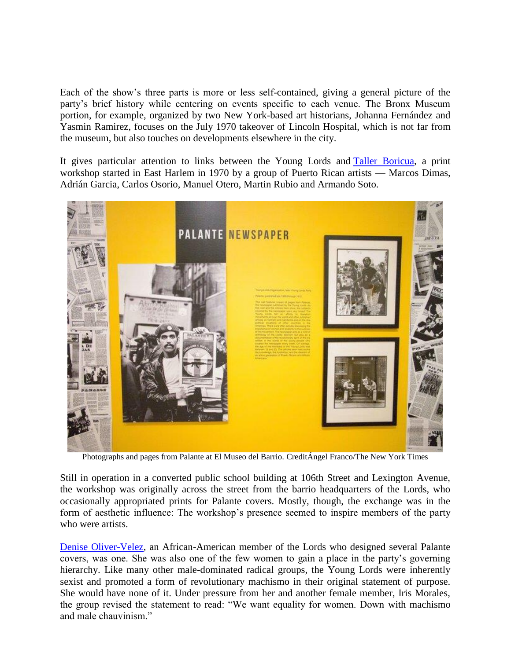Each of the show's three parts is more or less self-contained, giving a general picture of the party's brief history while centering on events specific to each venue. The Bronx Museum portion, for example, organized by two New York-based art historians, Johanna Fernández and Yasmin Ramirez, focuses on the July 1970 takeover of Lincoln Hospital, which is not far from the museum, but also touches on developments elsewhere in the city.

It gives particular attention to links between the Young Lords and [Taller Boricua,](http://tallerboricua.org/) a print workshop started in East Harlem in 1970 by a group of Puerto Rican artists — Marcos Dimas, Adrián Garcia, Carlos Osorio, Manuel Otero, Martin Rubio and Armando Soto.



Photographs and pages from Palante at El Museo del Barrio. CreditÁngel Franco/The New York Times

Still in operation in a converted public school building at 106th Street and Lexington Avenue, the workshop was originally across the street from the barrio headquarters of the Lords, who occasionally appropriated prints for Palante covers. Mostly, though, the exchange was in the form of aesthetic influence: The workshop's presence seemed to inspire members of the party who were artists.

[Denise Oliver-Velez,](http://www.shesbeautifulwhenshesangry.com/denise-oliver-velez/) an African-American member of the Lords who designed several Palante covers, was one. She was also one of the few women to gain a place in the party's governing hierarchy. Like many other male-dominated radical groups, the Young Lords were inherently sexist and promoted a form of revolutionary machismo in their original statement of purpose. She would have none of it. Under pressure from her and another female member, Iris Morales, the group revised the statement to read: "We want equality for women. Down with machismo and male chauvinism."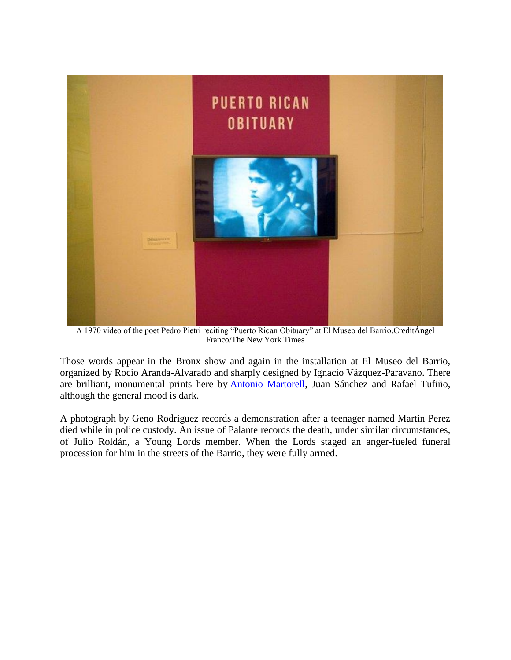

A 1970 video of the poet Pedro Pietri reciting "Puerto Rican Obituary" at El Museo del Barrio.CreditÁngel Franco/The New York Times

Those words appear in the Bronx show and again in the installation at El Museo del Barrio, organized by Rocio Aranda-Alvarado and sharply designed by Ignacio Vázquez-Paravano. There are brilliant, monumental prints here by [Antonio Martorell,](http://antoniomartorell.com/martorell.html) Juan Sánchez and Rafael Tufiño, although the general mood is dark.

A photograph by Geno Rodriguez records a demonstration after a teenager named Martin Perez died while in police custody. An issue of Palante records the death, under similar circumstances, of Julio Roldán, a Young Lords member. When the Lords staged an anger-fueled funeral procession for him in the streets of the Barrio, they were fully armed.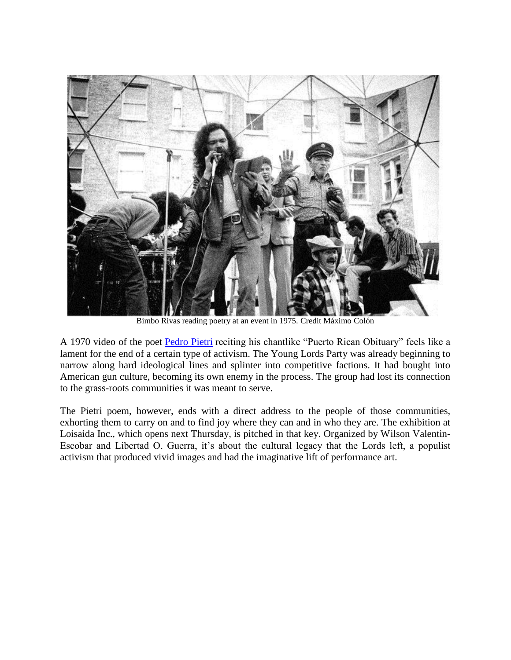

Bimbo Rivas reading poetry at an event in 1975. Credit Máximo Colón

A 1970 video of the poet [Pedro Pietri](https://www.youtube.com/watch?v=XCD0IsZ4HLI) reciting his chantlike "Puerto Rican Obituary" feels like a lament for the end of a certain type of activism. The Young Lords Party was already beginning to narrow along hard ideological lines and splinter into competitive factions. It had bought into American gun culture, becoming its own enemy in the process. The group had lost its connection to the grass-roots communities it was meant to serve.

The Pietri poem, however, ends with a direct address to the people of those communities, exhorting them to carry on and to find joy where they can and in who they are. The exhibition at Loisaida Inc., which opens next Thursday, is pitched in that key. Organized by Wilson Valentin-Escobar and Libertad O. Guerra, it's about the cultural legacy that the Lords left, a populist activism that produced vivid images and had the imaginative lift of performance art.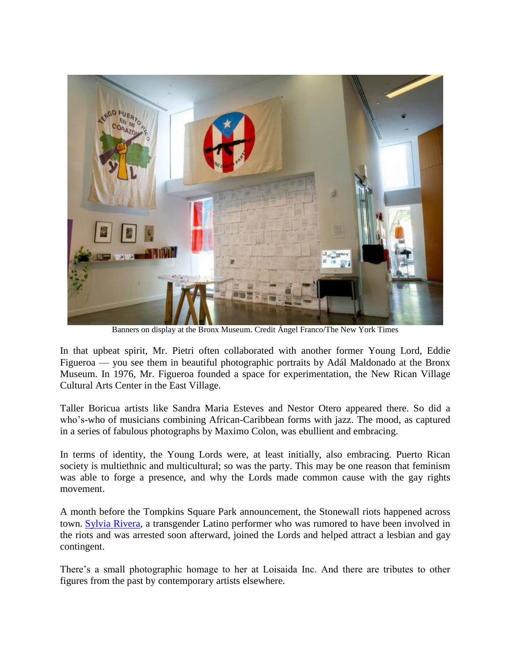

Banners on display at the Bronx Museum. Credit Ángel Franco/The New York Times

In that upbeat spirit, Mr. Pietri often collaborated with another former Young Lord, Eddie Figueroa — you see them in beautiful photographic portraits by Adál Maldonado at the Bronx Museum. In 1976, Mr. Figueroa founded a space for experimentation, the New Rican Village Cultural Arts Center in the East Village.

Taller Boricua artists like Sandra Maria Esteves and Nestor Otero appeared there. So did a who's-who of musicians combining African-Caribbean forms with jazz. The mood, as captured in a series of fabulous photographs by Maximo Colon, was ebullient and embracing.

In terms of identity, the Young Lords were, at least initially, also embracing. Puerto Rican society is multiethnic and multicultural; so was the party. This may be one reason that feminism was able to forge a presence, and why the Lords made common cause with the gay rights movement.

A month before the Tompkins Square Park announcement, the Stonewall riots happened across town. [Sylvia Rivera,](http://srlp.org/about/who-was-sylvia-rivera/) a transgender Latino performer who was rumored to have been involved in the riots and was arrested soon afterward, joined the Lords and helped attract a lesbian and gay contingent.

There's a small photographic homage to her at Loisaida Inc. And there are tributes to other figures from the past by contemporary artists elsewhere.